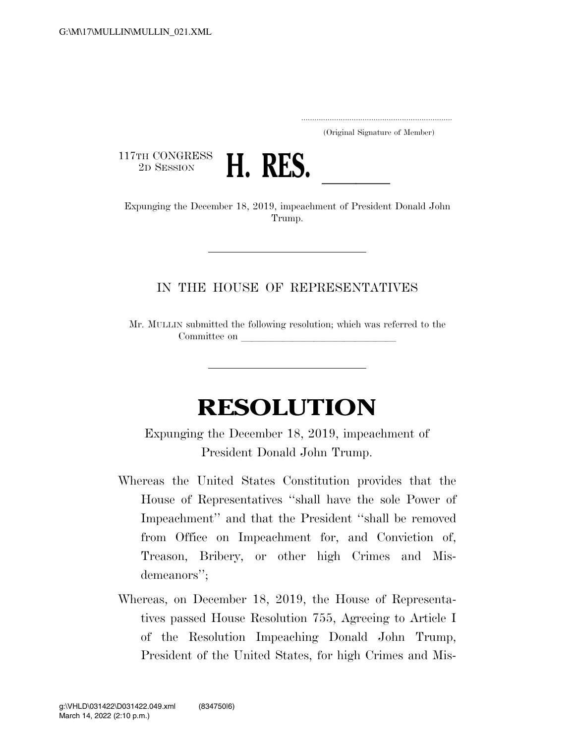.....................................................................

(Original Signature of Member)

117TH CONGRESS<br>2D SESSION



2D SESSION **H. RES.**<br>Expunging the December 18, 2019, impeachment of President Donald John Trump.

## IN THE HOUSE OF REPRESENTATIVES

Mr. MULLIN submitted the following resolution; which was referred to the Committee on

## **RESOLUTION**

Expunging the December 18, 2019, impeachment of President Donald John Trump.

- Whereas the United States Constitution provides that the House of Representatives ''shall have the sole Power of Impeachment'' and that the President ''shall be removed from Office on Impeachment for, and Conviction of, Treason, Bribery, or other high Crimes and Misdemeanors'';
- Whereas, on December 18, 2019, the House of Representatives passed House Resolution 755, Agreeing to Article I of the Resolution Impeaching Donald John Trump, President of the United States, for high Crimes and Mis-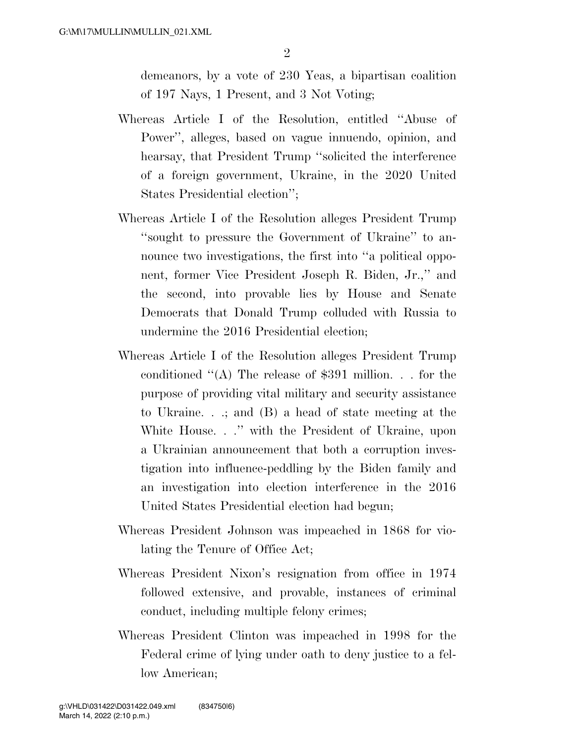demeanors, by a vote of 230 Yeas, a bipartisan coalition of 197 Nays, 1 Present, and 3 Not Voting;

- Whereas Article I of the Resolution, entitled ''Abuse of Power'', alleges, based on vague innuendo, opinion, and hearsay, that President Trump "solicited the interference of a foreign government, Ukraine, in the 2020 United States Presidential election'';
- Whereas Article I of the Resolution alleges President Trump ''sought to pressure the Government of Ukraine'' to announce two investigations, the first into "a political opponent, former Vice President Joseph R. Biden, Jr.,'' and the second, into provable lies by House and Senate Democrats that Donald Trump colluded with Russia to undermine the 2016 Presidential election;
- Whereas Article I of the Resolution alleges President Trump conditioned ''(A) The release of \$391 million. . . for the purpose of providing vital military and security assistance to Ukraine. . .; and (B) a head of state meeting at the White House. . .'' with the President of Ukraine, upon a Ukrainian announcement that both a corruption investigation into influence-peddling by the Biden family and an investigation into election interference in the 2016 United States Presidential election had begun;
- Whereas President Johnson was impeached in 1868 for violating the Tenure of Office Act;
- Whereas President Nixon's resignation from office in 1974 followed extensive, and provable, instances of criminal conduct, including multiple felony crimes;
- Whereas President Clinton was impeached in 1998 for the Federal crime of lying under oath to deny justice to a fellow American;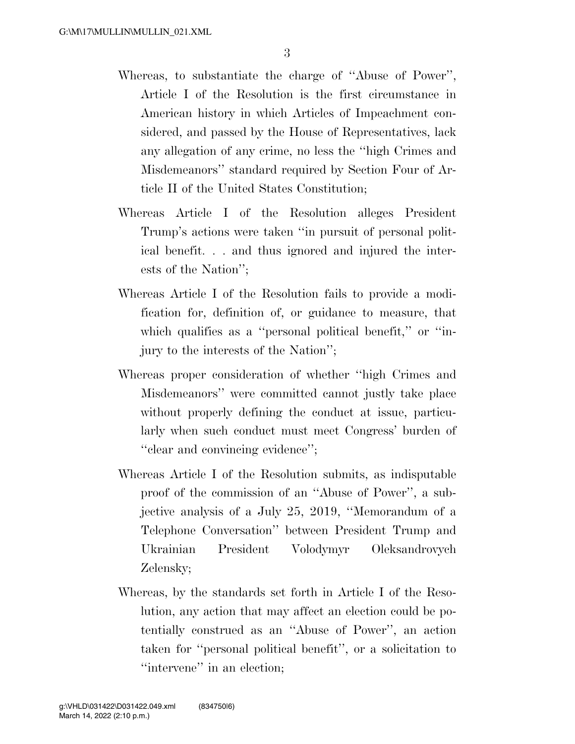- Whereas, to substantiate the charge of ''Abuse of Power'', Article I of the Resolution is the first circumstance in American history in which Articles of Impeachment considered, and passed by the House of Representatives, lack any allegation of any crime, no less the ''high Crimes and Misdemeanors'' standard required by Section Four of Article II of the United States Constitution;
- Whereas Article I of the Resolution alleges President Trump's actions were taken ''in pursuit of personal political benefit. . . and thus ignored and injured the interests of the Nation'';
- Whereas Article I of the Resolution fails to provide a modification for, definition of, or guidance to measure, that which qualifies as a "personal political benefit," or "injury to the interests of the Nation'';
- Whereas proper consideration of whether ''high Crimes and Misdemeanors'' were committed cannot justly take place without properly defining the conduct at issue, particularly when such conduct must meet Congress' burden of ''clear and convincing evidence'';
- Whereas Article I of the Resolution submits, as indisputable proof of the commission of an ''Abuse of Power'', a subjective analysis of a July 25, 2019, ''Memorandum of a Telephone Conversation'' between President Trump and Ukrainian President Volodymyr Oleksandrovych Zelensky;
- Whereas, by the standards set forth in Article I of the Resolution, any action that may affect an election could be potentially construed as an ''Abuse of Power'', an action taken for ''personal political benefit'', or a solicitation to "intervene" in an election;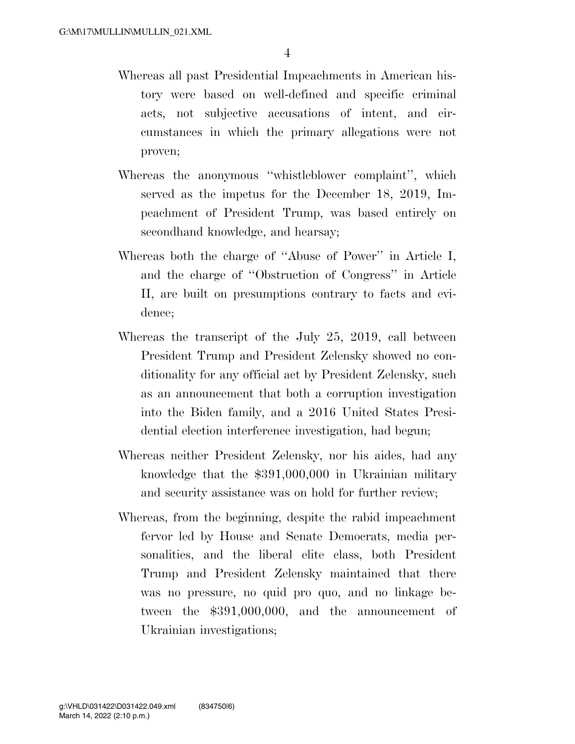- Whereas all past Presidential Impeachments in American history were based on well-defined and specific criminal acts, not subjective accusations of intent, and circumstances in which the primary allegations were not proven;
- Whereas the anonymous ''whistleblower complaint'', which served as the impetus for the December 18, 2019, Impeachment of President Trump, was based entirely on secondhand knowledge, and hearsay;
- Whereas both the charge of ''Abuse of Power'' in Article I, and the charge of ''Obstruction of Congress'' in Article II, are built on presumptions contrary to facts and evidence;
- Whereas the transcript of the July 25, 2019, call between President Trump and President Zelensky showed no conditionality for any official act by President Zelensky, such as an announcement that both a corruption investigation into the Biden family, and a 2016 United States Presidential election interference investigation, had begun;
- Whereas neither President Zelensky, nor his aides, had any knowledge that the \$391,000,000 in Ukrainian military and security assistance was on hold for further review;
- Whereas, from the beginning, despite the rabid impeachment fervor led by House and Senate Democrats, media personalities, and the liberal elite class, both President Trump and President Zelensky maintained that there was no pressure, no quid pro quo, and no linkage between the \$391,000,000, and the announcement of Ukrainian investigations;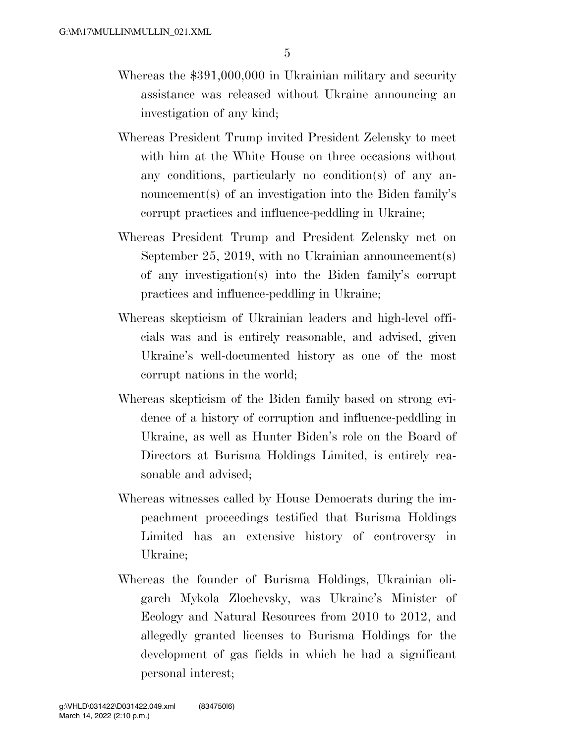- Whereas the \$391,000,000 in Ukrainian military and security assistance was released without Ukraine announcing an investigation of any kind;
- Whereas President Trump invited President Zelensky to meet with him at the White House on three occasions without any conditions, particularly no condition(s) of any announcement(s) of an investigation into the Biden family's corrupt practices and influence-peddling in Ukraine;
- Whereas President Trump and President Zelensky met on September 25, 2019, with no Ukrainian announcement(s) of any investigation(s) into the Biden family's corrupt practices and influence-peddling in Ukraine;
- Whereas skepticism of Ukrainian leaders and high-level officials was and is entirely reasonable, and advised, given Ukraine's well-documented history as one of the most corrupt nations in the world;
- Whereas skepticism of the Biden family based on strong evidence of a history of corruption and influence-peddling in Ukraine, as well as Hunter Biden's role on the Board of Directors at Burisma Holdings Limited, is entirely reasonable and advised;
- Whereas witnesses called by House Democrats during the impeachment proceedings testified that Burisma Holdings Limited has an extensive history of controversy in Ukraine;
- Whereas the founder of Burisma Holdings, Ukrainian oligarch Mykola Zlochevsky, was Ukraine's Minister of Ecology and Natural Resources from 2010 to 2012, and allegedly granted licenses to Burisma Holdings for the development of gas fields in which he had a significant personal interest;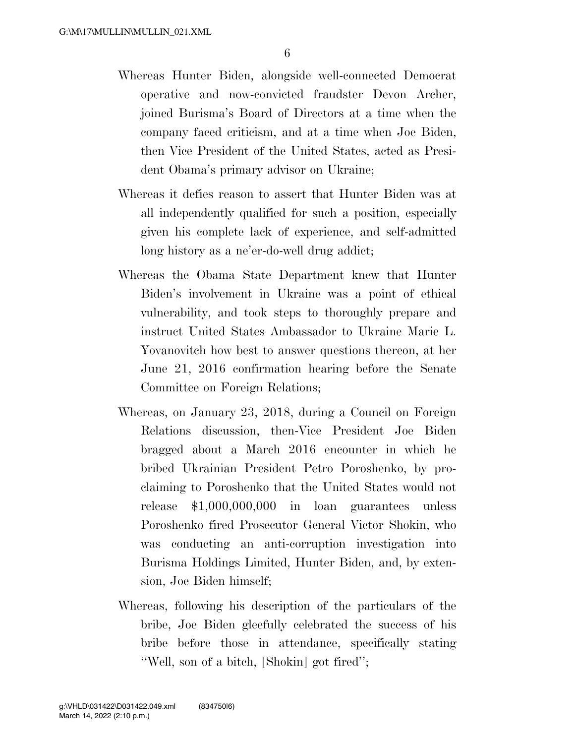- Whereas Hunter Biden, alongside well-connected Democrat operative and now-convicted fraudster Devon Archer, joined Burisma's Board of Directors at a time when the company faced criticism, and at a time when Joe Biden, then Vice President of the United States, acted as President Obama's primary advisor on Ukraine;
- Whereas it defies reason to assert that Hunter Biden was at all independently qualified for such a position, especially given his complete lack of experience, and self-admitted long history as a ne'er-do-well drug addict;
- Whereas the Obama State Department knew that Hunter Biden's involvement in Ukraine was a point of ethical vulnerability, and took steps to thoroughly prepare and instruct United States Ambassador to Ukraine Marie L. Yovanovitch how best to answer questions thereon, at her June 21, 2016 confirmation hearing before the Senate Committee on Foreign Relations;
- Whereas, on January 23, 2018, during a Council on Foreign Relations discussion, then-Vice President Joe Biden bragged about a March 2016 encounter in which he bribed Ukrainian President Petro Poroshenko, by proclaiming to Poroshenko that the United States would not release \$1,000,000,000 in loan guarantees unless Poroshenko fired Prosecutor General Victor Shokin, who was conducting an anti-corruption investigation into Burisma Holdings Limited, Hunter Biden, and, by extension, Joe Biden himself;
- Whereas, following his description of the particulars of the bribe, Joe Biden gleefully celebrated the success of his bribe before those in attendance, specifically stating ''Well, son of a bitch, [Shokin] got fired'';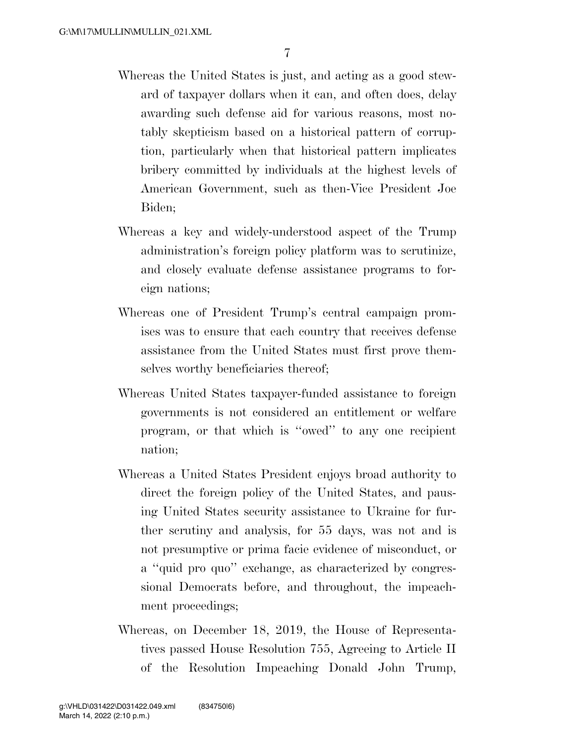- Whereas the United States is just, and acting as a good steward of taxpayer dollars when it can, and often does, delay awarding such defense aid for various reasons, most notably skepticism based on a historical pattern of corruption, particularly when that historical pattern implicates bribery committed by individuals at the highest levels of American Government, such as then-Vice President Joe Biden;
- Whereas a key and widely-understood aspect of the Trump administration's foreign policy platform was to scrutinize, and closely evaluate defense assistance programs to foreign nations;
- Whereas one of President Trump's central campaign promises was to ensure that each country that receives defense assistance from the United States must first prove themselves worthy beneficiaries thereof;
- Whereas United States taxpayer-funded assistance to foreign governments is not considered an entitlement or welfare program, or that which is ''owed'' to any one recipient nation;
- Whereas a United States President enjoys broad authority to direct the foreign policy of the United States, and pausing United States security assistance to Ukraine for further scrutiny and analysis, for 55 days, was not and is not presumptive or prima facie evidence of misconduct, or a ''quid pro quo'' exchange, as characterized by congressional Democrats before, and throughout, the impeachment proceedings;
- Whereas, on December 18, 2019, the House of Representatives passed House Resolution 755, Agreeing to Article II of the Resolution Impeaching Donald John Trump,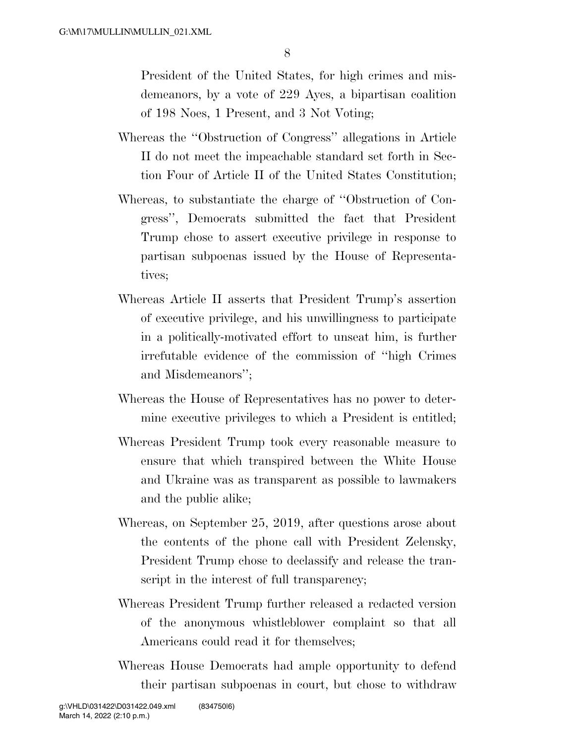8

President of the United States, for high crimes and misdemeanors, by a vote of 229 Ayes, a bipartisan coalition of 198 Noes, 1 Present, and 3 Not Voting;

- Whereas the ''Obstruction of Congress'' allegations in Article II do not meet the impeachable standard set forth in Section Four of Article II of the United States Constitution;
- Whereas, to substantiate the charge of ''Obstruction of Congress'', Democrats submitted the fact that President Trump chose to assert executive privilege in response to partisan subpoenas issued by the House of Representatives;
- Whereas Article II asserts that President Trump's assertion of executive privilege, and his unwillingness to participate in a politically-motivated effort to unseat him, is further irrefutable evidence of the commission of ''high Crimes and Misdemeanors'';
- Whereas the House of Representatives has no power to determine executive privileges to which a President is entitled;
- Whereas President Trump took every reasonable measure to ensure that which transpired between the White House and Ukraine was as transparent as possible to lawmakers and the public alike;
- Whereas, on September 25, 2019, after questions arose about the contents of the phone call with President Zelensky, President Trump chose to declassify and release the transcript in the interest of full transparency;
- Whereas President Trump further released a redacted version of the anonymous whistleblower complaint so that all Americans could read it for themselves;
- Whereas House Democrats had ample opportunity to defend their partisan subpoenas in court, but chose to withdraw